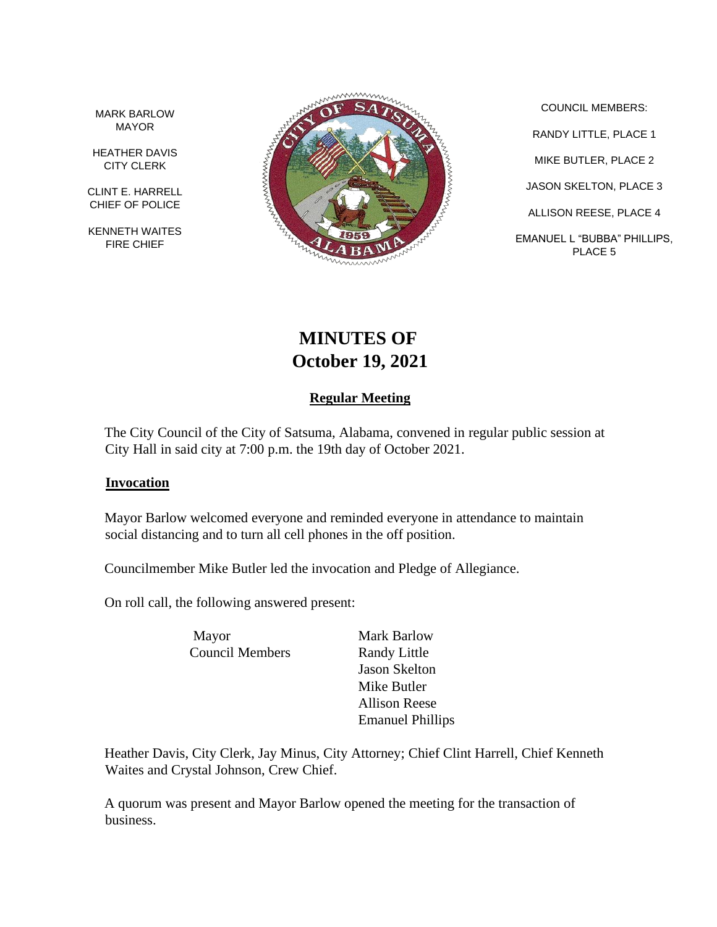MARK BARLOW MAYOR

HEATHER DAVIS CITY CLERK

CLINT E. HARRELL CHIEF OF POLICE

KENNETH WAITES FIRE CHIEF



COUNCIL MEMBERS: RANDY LITTLE, PLACE 1 MIKE BUTLER, PLACE 2 JASON SKELTON, PLACE 3 ALLISON REESE, PLACE 4 EMANUEL L "BUBBA" PHILLIPS, PLACE 5

# **MINUTES OF October 19, 2021**

# **Regular Meeting**

The City Council of the City of Satsuma, Alabama, convened in regular public session at City Hall in said city at 7:00 p.m. the 19th day of October 2021.

## **Invocation**

Mayor Barlow welcomed everyone and reminded everyone in attendance to maintain social distancing and to turn all cell phones in the off position.

Councilmember Mike Butler led the invocation and Pledge of Allegiance.

On roll call, the following answered present:

Mayor Mark Barlow Council Members Randy Little

Jason Skelton Mike Butler Allison Reese Emanuel Phillips

Heather Davis, City Clerk, Jay Minus, City Attorney; Chief Clint Harrell, Chief Kenneth Waites and Crystal Johnson, Crew Chief.

A quorum was present and Mayor Barlow opened the meeting for the transaction of business.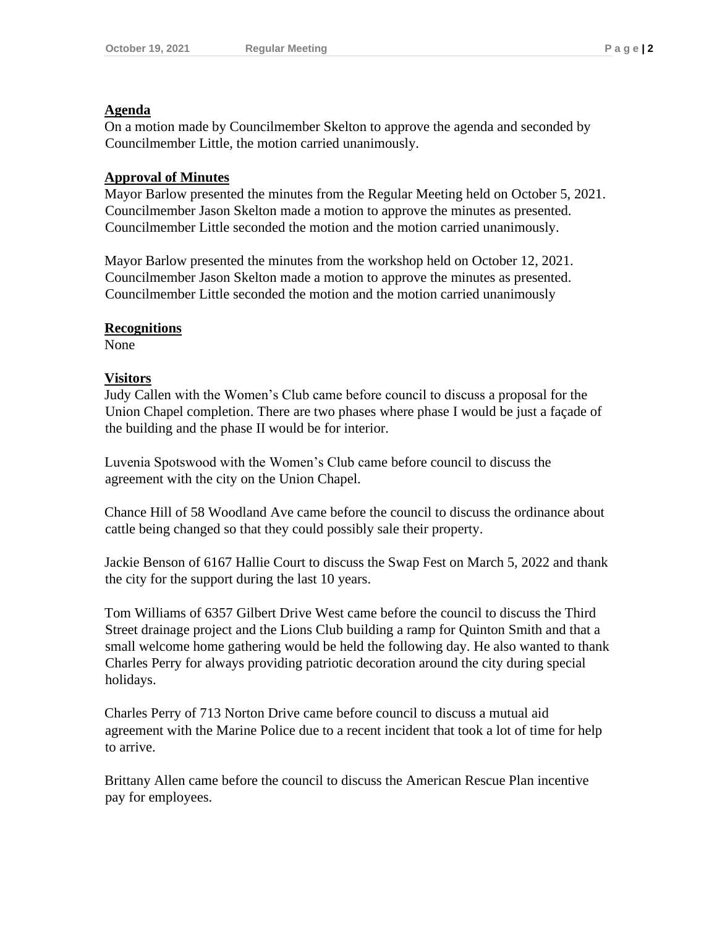#### **Agenda**

On a motion made by Councilmember Skelton to approve the agenda and seconded by Councilmember Little, the motion carried unanimously.

## **Approval of Minutes**

Mayor Barlow presented the minutes from the Regular Meeting held on October 5, 2021. Councilmember Jason Skelton made a motion to approve the minutes as presented. Councilmember Little seconded the motion and the motion carried unanimously.

Mayor Barlow presented the minutes from the workshop held on October 12, 2021. Councilmember Jason Skelton made a motion to approve the minutes as presented. Councilmember Little seconded the motion and the motion carried unanimously

## **Recognitions**

None

## **Visitors**

Judy Callen with the Women's Club came before council to discuss a proposal for the Union Chapel completion. There are two phases where phase I would be just a façade of the building and the phase II would be for interior.

Luvenia Spotswood with the Women's Club came before council to discuss the agreement with the city on the Union Chapel.

Chance Hill of 58 Woodland Ave came before the council to discuss the ordinance about cattle being changed so that they could possibly sale their property.

Jackie Benson of 6167 Hallie Court to discuss the Swap Fest on March 5, 2022 and thank the city for the support during the last 10 years.

Tom Williams of 6357 Gilbert Drive West came before the council to discuss the Third Street drainage project and the Lions Club building a ramp for Quinton Smith and that a small welcome home gathering would be held the following day. He also wanted to thank Charles Perry for always providing patriotic decoration around the city during special holidays.

Charles Perry of 713 Norton Drive came before council to discuss a mutual aid agreement with the Marine Police due to a recent incident that took a lot of time for help to arrive.

Brittany Allen came before the council to discuss the American Rescue Plan incentive pay for employees.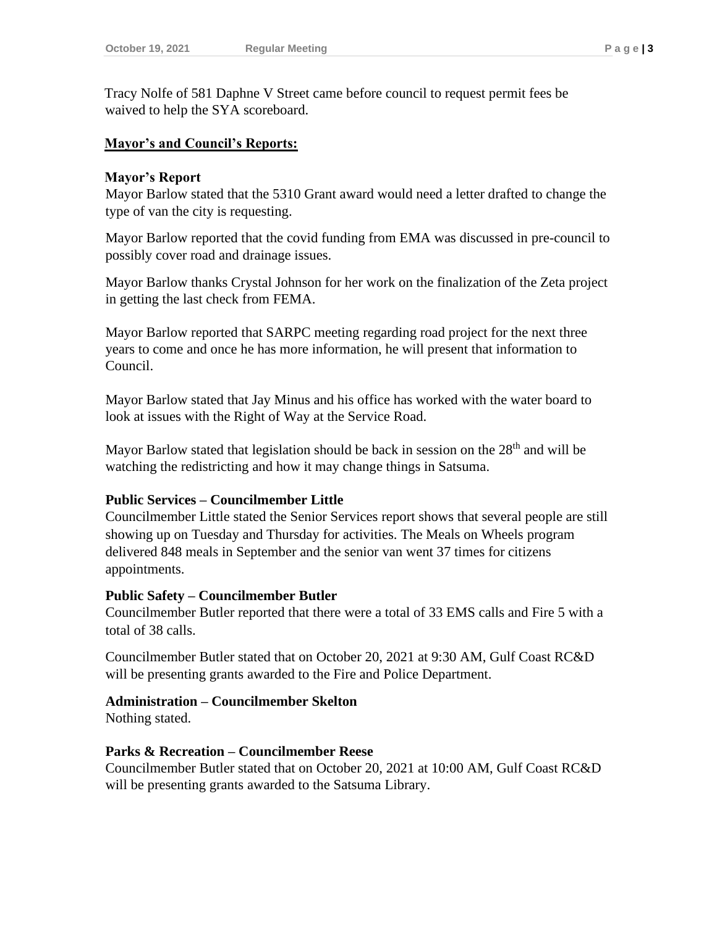Tracy Nolfe of 581 Daphne V Street came before council to request permit fees be waived to help the SYA scoreboard.

#### **Mayor's and Council's Reports:**

#### **Mayor's Report**

Mayor Barlow stated that the 5310 Grant award would need a letter drafted to change the type of van the city is requesting.

Mayor Barlow reported that the covid funding from EMA was discussed in pre-council to possibly cover road and drainage issues.

Mayor Barlow thanks Crystal Johnson for her work on the finalization of the Zeta project in getting the last check from FEMA.

Mayor Barlow reported that SARPC meeting regarding road project for the next three years to come and once he has more information, he will present that information to Council.

Mayor Barlow stated that Jay Minus and his office has worked with the water board to look at issues with the Right of Way at the Service Road.

Mayor Barlow stated that legislation should be back in session on the  $28<sup>th</sup>$  and will be watching the redistricting and how it may change things in Satsuma.

#### **Public Services – Councilmember Little**

Councilmember Little stated the Senior Services report shows that several people are still showing up on Tuesday and Thursday for activities. The Meals on Wheels program delivered 848 meals in September and the senior van went 37 times for citizens appointments.

## **Public Safety – Councilmember Butler**

Councilmember Butler reported that there were a total of 33 EMS calls and Fire 5 with a total of 38 calls.

Councilmember Butler stated that on October 20, 2021 at 9:30 AM, Gulf Coast RC&D will be presenting grants awarded to the Fire and Police Department.

## **Administration – Councilmember Skelton**

Nothing stated.

## **Parks & Recreation – Councilmember Reese**

Councilmember Butler stated that on October 20, 2021 at 10:00 AM, Gulf Coast RC&D will be presenting grants awarded to the Satsuma Library.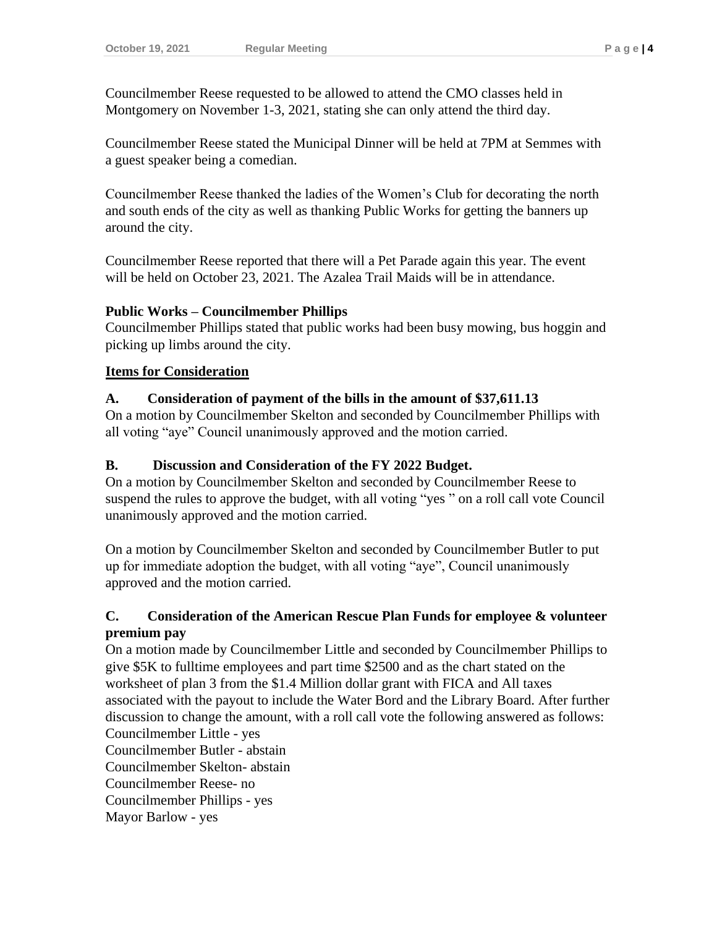Councilmember Reese requested to be allowed to attend the CMO classes held in Montgomery on November 1-3, 2021, stating she can only attend the third day.

Councilmember Reese stated the Municipal Dinner will be held at 7PM at Semmes with a guest speaker being a comedian.

Councilmember Reese thanked the ladies of the Women's Club for decorating the north and south ends of the city as well as thanking Public Works for getting the banners up around the city.

Councilmember Reese reported that there will a Pet Parade again this year. The event will be held on October 23, 2021. The Azalea Trail Maids will be in attendance.

## **Public Works – Councilmember Phillips**

Councilmember Phillips stated that public works had been busy mowing, bus hoggin and picking up limbs around the city.

## **Items for Consideration**

## **A. Consideration of payment of the bills in the amount of \$37,611.13**

On a motion by Councilmember Skelton and seconded by Councilmember Phillips with all voting "aye" Council unanimously approved and the motion carried.

## **B. Discussion and Consideration of the FY 2022 Budget.**

On a motion by Councilmember Skelton and seconded by Councilmember Reese to suspend the rules to approve the budget, with all voting "yes " on a roll call vote Council unanimously approved and the motion carried.

On a motion by Councilmember Skelton and seconded by Councilmember Butler to put up for immediate adoption the budget, with all voting "aye", Council unanimously approved and the motion carried.

# **C. Consideration of the American Rescue Plan Funds for employee & volunteer premium pay**

On a motion made by Councilmember Little and seconded by Councilmember Phillips to give \$5K to fulltime employees and part time \$2500 and as the chart stated on the worksheet of plan 3 from the \$1.4 Million dollar grant with FICA and All taxes associated with the payout to include the Water Bord and the Library Board. After further discussion to change the amount, with a roll call vote the following answered as follows: Councilmember Little - yes

Councilmember Butler - abstain Councilmember Skelton- abstain Councilmember Reese- no Councilmember Phillips - yes Mayor Barlow - yes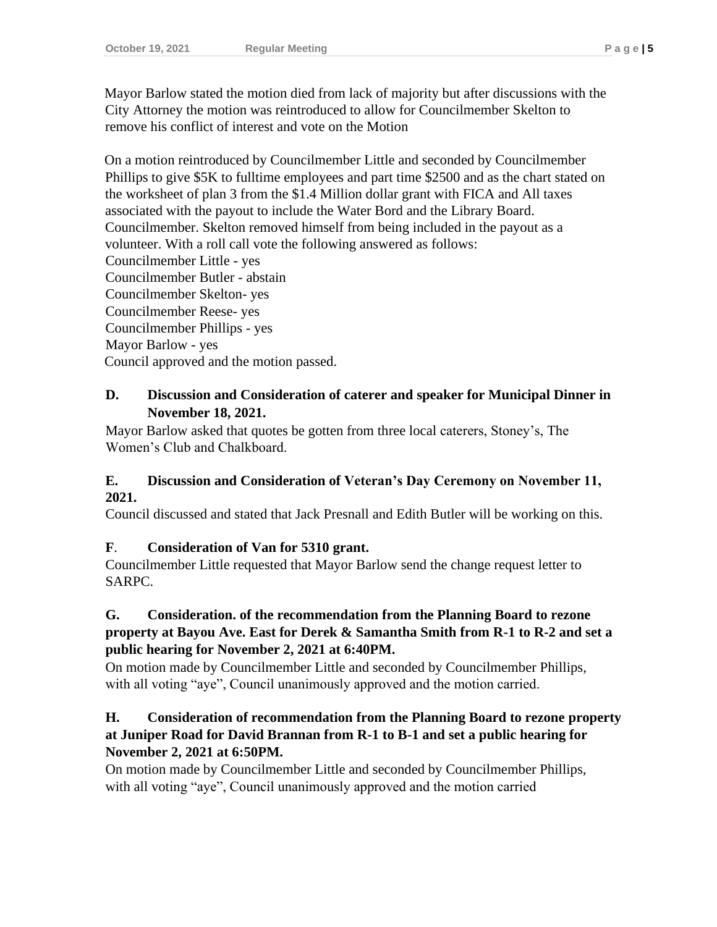Mayor Barlow stated the motion died from lack of majority but after discussions with the City Attorney the motion was reintroduced to allow for Councilmember Skelton to remove his conflict of interest and vote on the Motion

On a motion reintroduced by Councilmember Little and seconded by Councilmember Phillips to give \$5K to fulltime employees and part time \$2500 and as the chart stated on the worksheet of plan 3 from the \$1.4 Million dollar grant with FICA and All taxes associated with the payout to include the Water Bord and the Library Board. Councilmember. Skelton removed himself from being included in the payout as a volunteer. With a roll call vote the following answered as follows: Councilmember Little - yes Councilmember Butler - abstain Councilmember Skelton- yes Councilmember Reese- yes Councilmember Phillips - yes Mayor Barlow - yes Council approved and the motion passed.

# **D. Discussion and Consideration of caterer and speaker for Municipal Dinner in November 18, 2021.**

Mayor Barlow asked that quotes be gotten from three local caterers, Stoney's, The Women's Club and Chalkboard.

# **E. Discussion and Consideration of Veteran's Day Ceremony on November 11, 2021.**

Council discussed and stated that Jack Presnall and Edith Butler will be working on this.

# **F**. **Consideration of Van for 5310 grant.**

Councilmember Little requested that Mayor Barlow send the change request letter to SARPC.

# **G. Consideration. of the recommendation from the Planning Board to rezone property at Bayou Ave. East for Derek & Samantha Smith from R-1 to R-2 and set a public hearing for November 2, 2021 at 6:40PM.**

On motion made by Councilmember Little and seconded by Councilmember Phillips, with all voting "aye", Council unanimously approved and the motion carried.

# **H. Consideration of recommendation from the Planning Board to rezone property at Juniper Road for David Brannan from R-1 to B-1 and set a public hearing for November 2, 2021 at 6:50PM.**

On motion made by Councilmember Little and seconded by Councilmember Phillips, with all voting "aye", Council unanimously approved and the motion carried